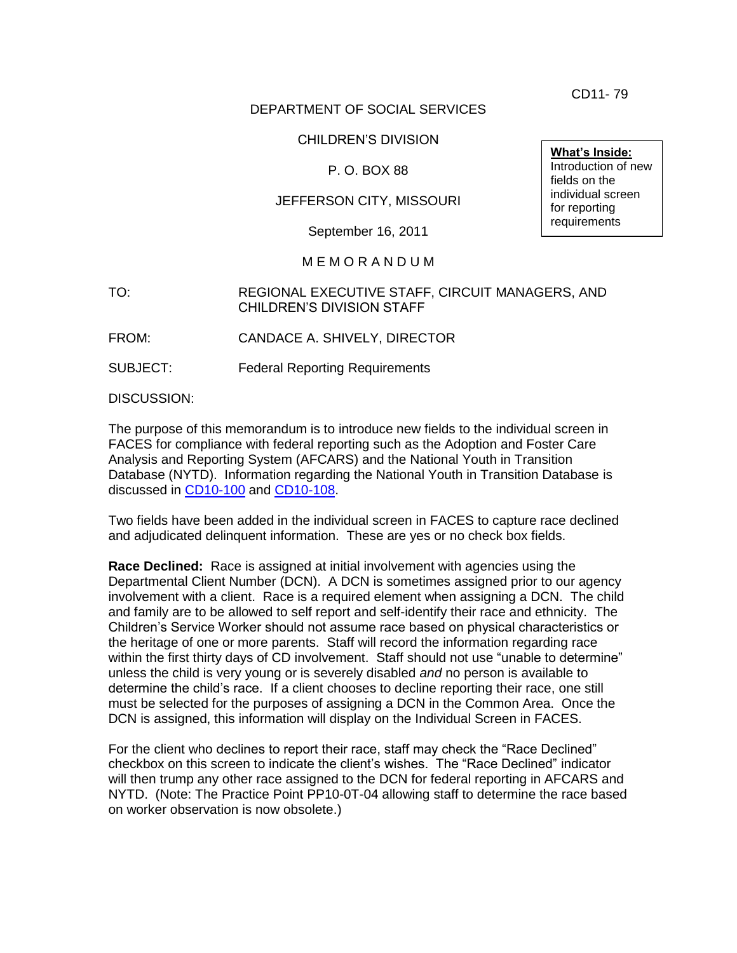CD11- 79

## DEPARTMENT OF SOCIAL SERVICES

## CHILDREN"S DIVISION

## P. O. BOX 88

## JEFFERSON CITY, MISSOURI

September 16, 2011

### M E M O R A N D U M

### TO: REGIONAL EXECUTIVE STAFF, CIRCUIT MANAGERS, AND CHILDREN"S DIVISION STAFF

FROM: CANDACE A. SHIVELY, DIRECTOR

SUBJECT: Federal Reporting Requirements

DISCUSSION:

The purpose of this memorandum is to introduce new fields to the individual screen in FACES for compliance with federal reporting such as the Adoption and Foster Care Analysis and Reporting System (AFCARS) and the National Youth in Transition Database (NYTD). Information regarding the National Youth in Transition Database is discussed in [CD10-100](http://dss.mo.gov/cd/info/memos/2010/cd10-100.pdf) and [CD10-108.](http://dss.mo.gov/cd/info/memos/2010/cd10-108.pdf)

Two fields have been added in the individual screen in FACES to capture race declined and adjudicated delinquent information. These are yes or no check box fields.

**Race Declined:** Race is assigned at initial involvement with agencies using the Departmental Client Number (DCN). A DCN is sometimes assigned prior to our agency involvement with a client. Race is a required element when assigning a DCN. The child and family are to be allowed to self report and self-identify their race and ethnicity. The Children"s Service Worker should not assume race based on physical characteristics or the heritage of one or more parents. Staff will record the information regarding race within the first thirty days of CD involvement. Staff should not use "unable to determine" unless the child is very young or is severely disabled *and* no person is available to determine the child"s race. If a client chooses to decline reporting their race, one still must be selected for the purposes of assigning a DCN in the Common Area. Once the DCN is assigned, this information will display on the Individual Screen in FACES.

For the client who declines to report their race, staff may check the "Race Declined" checkbox on this screen to indicate the client"s wishes. The "Race Declined" indicator will then trump any other race assigned to the DCN for federal reporting in AFCARS and NYTD. (Note: The Practice Point PP10-0T-04 allowing staff to determine the race based on worker observation is now obsolete.)

**What's Inside:** Introduction of new fields on the individual screen for reporting requirements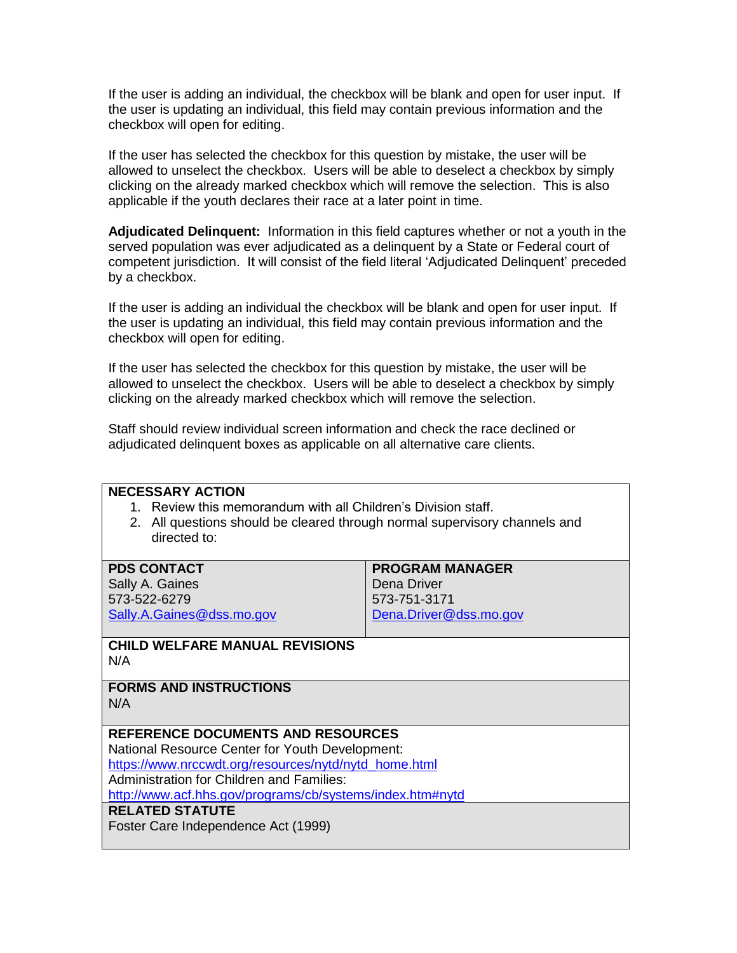If the user is adding an individual, the checkbox will be blank and open for user input. If the user is updating an individual, this field may contain previous information and the checkbox will open for editing.

If the user has selected the checkbox for this question by mistake, the user will be allowed to unselect the checkbox. Users will be able to deselect a checkbox by simply clicking on the already marked checkbox which will remove the selection. This is also applicable if the youth declares their race at a later point in time.

**Adjudicated Delinquent:** Information in this field captures whether or not a youth in the served population was ever adjudicated as a delinquent by a State or Federal court of competent jurisdiction. It will consist of the field literal "Adjudicated Delinquent" preceded by a checkbox.

If the user is adding an individual the checkbox will be blank and open for user input. If the user is updating an individual, this field may contain previous information and the checkbox will open for editing.

If the user has selected the checkbox for this question by mistake, the user will be allowed to unselect the checkbox. Users will be able to deselect a checkbox by simply clicking on the already marked checkbox which will remove the selection.

Staff should review individual screen information and check the race declined or adjudicated delinquent boxes as applicable on all alternative care clients.

## **NECESSARY ACTION**

- 1. Review this memorandum with all Children"s Division staff.
- 2. All questions should be cleared through normal supervisory channels and directed to:

| <b>PDS CONTACT</b>        | <b>PROGRAM MANAGER</b> |
|---------------------------|------------------------|
| Sally A. Gaines           | Dena Driver            |
| 573-522-6279              | 573-751-3171           |
| Sally.A.Gaines@dss.mo.gov | Dena.Driver@dss.mo.gov |
|                           |                        |

#### **CHILD WELFARE MANUAL REVISIONS** N/A

**FORMS AND INSTRUCTIONS** N/A

## **REFERENCE DOCUMENTS AND RESOURCES**

National Resource Center for Youth Development: [https://www.nrccwdt.org/resources/nytd/nytd\\_home.html](https://www.nrccwdt.org/resources/nytd/nytd_home.html)

Administration for Children and Families:

<http://www.acf.hhs.gov/programs/cb/systems/index.htm#nytd>

## **RELATED STATUTE**

Foster Care Independence Act (1999)